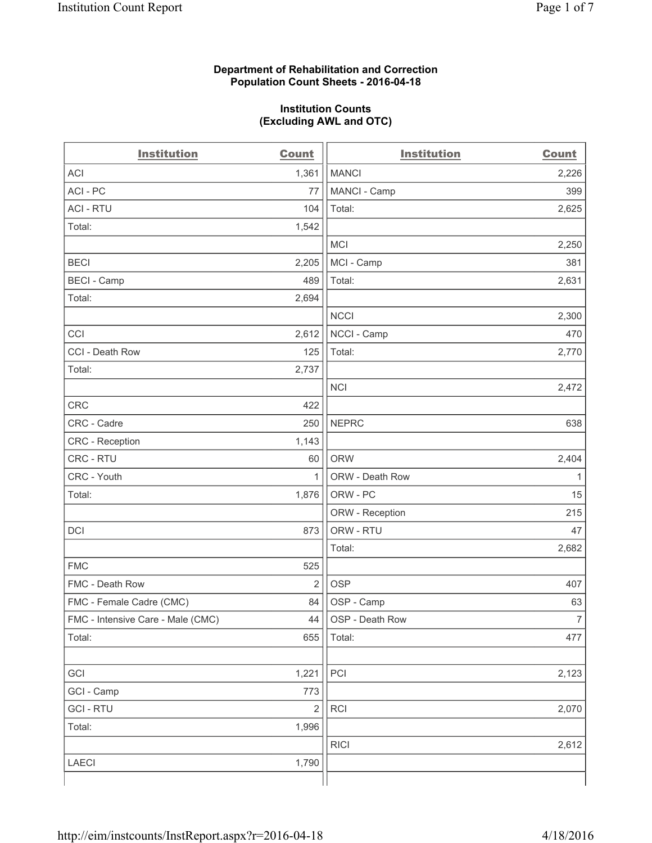#### **Department of Rehabilitation and Correction Population Count Sheets - 2016-04-18**

#### **Institution Counts (Excluding AWL and OTC)**

| <b>Institution</b>                | Count          | <b>Institution</b> | <b>Count</b>   |
|-----------------------------------|----------------|--------------------|----------------|
| <b>ACI</b>                        | 1,361          | <b>MANCI</b>       | 2,226          |
| ACI-PC                            | 77             | MANCI - Camp       | 399            |
| <b>ACI - RTU</b>                  | 104            | Total:             | 2,625          |
| Total:                            | 1,542          |                    |                |
|                                   |                | <b>MCI</b>         | 2,250          |
| <b>BECI</b>                       | 2,205          | MCI - Camp         | 381            |
| <b>BECI</b> - Camp                | 489            | Total:             | 2,631          |
| Total:                            | 2,694          |                    |                |
|                                   |                | <b>NCCI</b>        | 2,300          |
| CCI                               | 2,612          | NCCI - Camp        | 470            |
| CCI - Death Row                   | 125            | Total:             | 2,770          |
| Total:                            | 2,737          |                    |                |
|                                   |                | <b>NCI</b>         | 2,472          |
| <b>CRC</b>                        | 422            |                    |                |
| CRC - Cadre                       | 250            | <b>NEPRC</b>       | 638            |
| CRC - Reception                   | 1,143          |                    |                |
| CRC - RTU                         | 60             | <b>ORW</b>         | 2,404          |
| CRC - Youth                       | 1              | ORW - Death Row    | 1              |
| Total:                            | 1,876          | ORW - PC           | 15             |
|                                   |                | ORW - Reception    | 215            |
| DCI                               | 873            | ORW - RTU          | 47             |
|                                   |                | Total:             | 2,682          |
| <b>FMC</b>                        | 525            |                    |                |
| FMC - Death Row                   | $\overline{2}$ | <b>OSP</b>         | 407            |
| FMC - Female Cadre (CMC)          | 84             | OSP - Camp         | 63             |
| FMC - Intensive Care - Male (CMC) | 44             | OSP - Death Row    | $\overline{7}$ |
| Total:                            | 655            | Total:             | 477            |
|                                   |                |                    |                |
| GCI                               | 1,221          | PCI                | 2,123          |
| GCI - Camp                        | 773            |                    |                |
| <b>GCI-RTU</b>                    | $\overline{2}$ | RCI                | 2,070          |
| Total:                            | 1,996          |                    |                |
|                                   |                | <b>RICI</b>        | 2,612          |
| <b>LAECI</b>                      | 1,790          |                    |                |
|                                   |                |                    |                |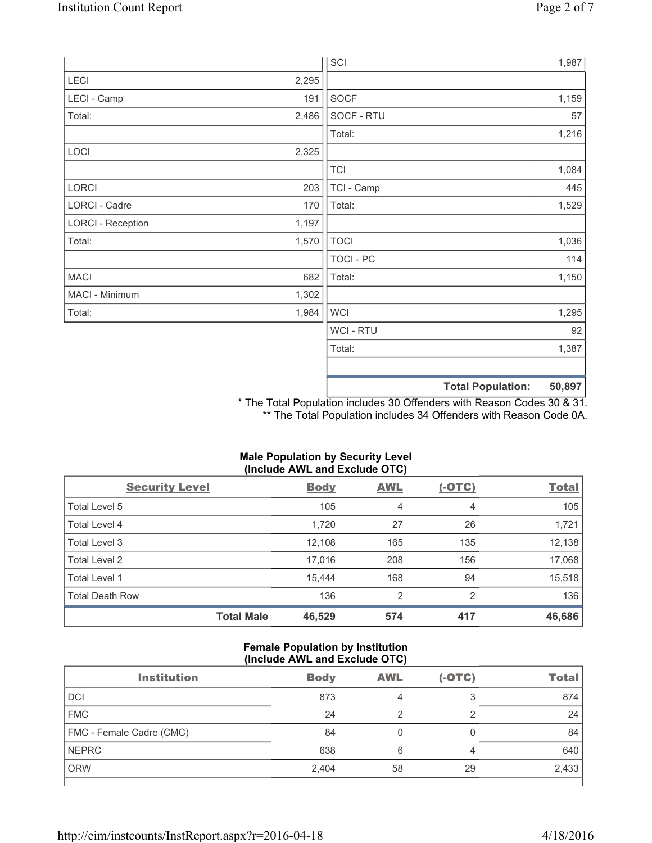|                          |       | SCI            |                          | 1,987  |
|--------------------------|-------|----------------|--------------------------|--------|
| LECI                     | 2,295 |                |                          |        |
| LECI - Camp              | 191   | SOCF           |                          | 1,159  |
| Total:                   | 2,486 | SOCF - RTU     |                          | 57     |
|                          |       | Total:         |                          | 1,216  |
| LOCI                     | 2,325 |                |                          |        |
|                          |       | <b>TCI</b>     |                          | 1,084  |
| LORCI                    | 203   | TCI - Camp     |                          | 445    |
| LORCI - Cadre            | 170   | Total:         |                          | 1,529  |
| <b>LORCI - Reception</b> | 1,197 |                |                          |        |
| Total:                   | 1,570 | <b>TOCI</b>    |                          | 1,036  |
|                          |       | TOCI - PC      |                          | 114    |
| <b>MACI</b>              | 682   | Total:         |                          | 1,150  |
| MACI - Minimum           | 1,302 |                |                          |        |
| Total:                   | 1,984 | <b>WCI</b>     |                          | 1,295  |
|                          |       | <b>WCI-RTU</b> |                          | 92     |
|                          |       | Total:         |                          | 1,387  |
|                          |       |                |                          |        |
|                          |       |                | <b>Total Population:</b> | 50,897 |

\* The Total Population includes 30 Offenders with Reason Codes 30 & 31. \*\* The Total Population includes 34 Offenders with Reason Code 0A.

## **Male Population by Security Level (Include AWL and Exclude OTC)**

| <b>Security Level</b>  |                   | <b>Body</b> | <b>AWL</b>     | $(-OTC)$ | <b>Total</b> |
|------------------------|-------------------|-------------|----------------|----------|--------------|
| Total Level 5          |                   | 105         | 4              | 4        | 105          |
| Total Level 4          |                   | 1,720       | 27             | 26       | 1,721        |
| Total Level 3          |                   | 12,108      | 165            | 135      | 12,138       |
| Total Level 2          |                   | 17,016      | 208            | 156      | 17,068       |
| Total Level 1          |                   | 15,444      | 168            | 94       | 15,518       |
| <b>Total Death Row</b> |                   | 136         | $\overline{2}$ | 2        | 136          |
|                        | <b>Total Male</b> | 46,529      | 574            | 417      | 46,686       |

#### **Female Population by Institution (Include AWL and Exclude OTC)**

| <b>Institution</b>       | <b>Body</b> | <b>AWL</b> | $(-OTC)$ | <b>Total</b> |
|--------------------------|-------------|------------|----------|--------------|
| <b>DCI</b>               | 873         |            | っ        | 874          |
| <b>FMC</b>               | 24          |            |          | 24           |
| FMC - Female Cadre (CMC) | 84          |            |          | 84           |
| <b>NEPRC</b>             | 638         | 6          | 4        | 640          |
| <b>ORW</b>               | 2,404       | 58         | 29       | 2,433        |
|                          |             |            |          |              |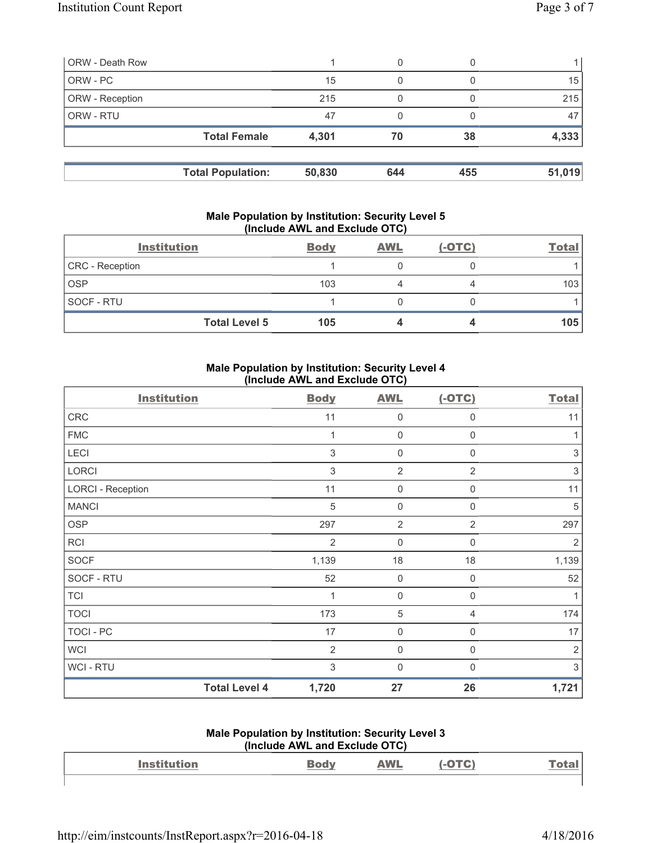| <b>ORW - Death Row</b> |                          |        | 0   |     |        |
|------------------------|--------------------------|--------|-----|-----|--------|
| ORW - PC               |                          | 15     | 0   |     | 15     |
| ORW - Reception        |                          | 215    |     |     | 215    |
| ORW - RTU              |                          | 47     | 0   |     | 47     |
|                        | <b>Total Female</b>      | 4,301  | 70  | 38  | 4,333  |
|                        | <b>Total Population:</b> | 50,830 | 644 | 455 | 51,019 |

#### **Male Population by Institution: Security Level 5 (Include AWL and Exclude OTC)**

| <b>Institution</b>   | <b>Body</b> | <b>AWL</b> | $(-OTC)$ | <b>Total</b> |
|----------------------|-------------|------------|----------|--------------|
| CRC - Reception      |             |            |          |              |
| <b>OSP</b>           | 103         |            |          | 103          |
| SOCF - RTU           |             |            |          |              |
| <b>Total Level 5</b> | 105         |            |          | 105          |

### **Male Population by Institution: Security Level 4 (Include AWL and Exclude OTC)**

| <b>Institution</b>       | <b>Body</b>                   | <b>AWL</b>     | $(-OTC)$       | <b>Total</b>   |
|--------------------------|-------------------------------|----------------|----------------|----------------|
| CRC                      | 11                            | $\mathbf 0$    | $\mathbf 0$    | 11             |
| <b>FMC</b>               | 1                             | $\mathbf 0$    | $\mathsf 0$    |                |
| LECI                     | 3                             | 0              | 0              | 3              |
| LORCI                    | 3                             | $\overline{2}$ | $\overline{2}$ | 3              |
| <b>LORCI - Reception</b> | 11                            | 0              | $\mathbf 0$    | 11             |
| <b>MANCI</b>             | $\sqrt{5}$                    | $\mathbf 0$    | $\mathbf 0$    | 5              |
| OSP                      | 297                           | $\overline{2}$ | $\overline{2}$ | 297            |
| RCI                      | $\overline{2}$                | $\mathbf 0$    | $\mathbf 0$    | 2              |
| <b>SOCF</b>              | 1,139                         | 18             | 18             | 1,139          |
| SOCF - RTU               | 52                            | $\mathsf 0$    | $\mathbf 0$    | 52             |
| <b>TCI</b>               | 1                             | $\mathbf 0$    | $\mathbf 0$    |                |
| <b>TOCI</b>              | 173                           | $\sqrt{5}$     | $\overline{4}$ | 174            |
| TOCI - PC                | 17                            | 0              | $\mathbf 0$    | 17             |
| <b>WCI</b>               | $\overline{2}$                | $\mathbf 0$    | $\mathbf 0$    | $\overline{2}$ |
| <b>WCI-RTU</b>           | $\mathfrak{S}$                | $\mathbf 0$    | $\mathbf 0$    | 3              |
|                          | <b>Total Level 4</b><br>1,720 | 27             | 26             | 1,721          |

#### **Male Population by Institution: Security Level 3 (Include AWL and Exclude OTC)**

| $(110)(140)$ $(111)$ $(110)$ $(210)$ |  |                                 |  |  |  |
|--------------------------------------|--|---------------------------------|--|--|--|
| <b>Institution</b>                   |  | $\mathbf{A} \mathbf{v}$<br>$ -$ |  |  |  |
|                                      |  |                                 |  |  |  |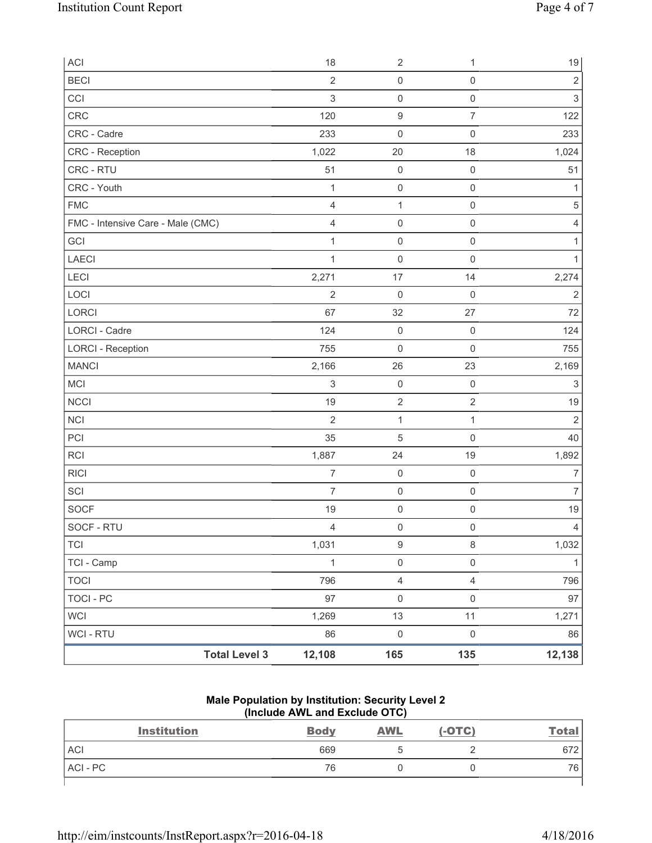| ACI                               | 18             | $\sqrt{2}$          | 1                   | $19$           |
|-----------------------------------|----------------|---------------------|---------------------|----------------|
| <b>BECI</b>                       | $\overline{2}$ | $\mathsf{O}\xspace$ | $\mathsf 0$         | $\sqrt{2}$     |
| CCI                               | $\mathsf 3$    | $\mathsf{O}\xspace$ | $\mathsf{O}\xspace$ | $\mathsf 3$    |
| CRC                               | 120            | $\boldsymbol{9}$    | $\overline{7}$      | 122            |
| CRC - Cadre                       | 233            | $\mathsf{O}\xspace$ | $\mathsf 0$         | 233            |
| CRC - Reception                   | 1,022          | 20                  | 18                  | 1,024          |
| CRC - RTU                         | 51             | $\mathsf 0$         | $\mathsf 0$         | 51             |
| CRC - Youth                       | $\mathbf{1}$   | $\mathsf{O}\xspace$ | $\mathsf{O}\xspace$ | 1              |
| <b>FMC</b>                        | $\overline{4}$ | $\mathbf{1}$        | $\mathsf 0$         | $\,$ 5 $\,$    |
| FMC - Intensive Care - Male (CMC) | $\overline{4}$ | $\mathsf{O}\xspace$ | $\mathsf{O}\xspace$ | 4              |
| GCI                               | 1              | $\mathsf{O}\xspace$ | $\mathsf 0$         | 1              |
| <b>LAECI</b>                      | $\mathbf{1}$   | $\mathsf{O}\xspace$ | $\mathsf 0$         | 1              |
| <b>LECI</b>                       | 2,271          | 17                  | 14                  | 2,274          |
| LOCI                              | $\overline{2}$ | $\mathbf 0$         | $\mathbf 0$         | $\sqrt{2}$     |
| LORCI                             | 67             | 32                  | 27                  | 72             |
| <b>LORCI - Cadre</b>              | 124            | $\mathsf{O}\xspace$ | $\mathsf 0$         | 124            |
| <b>LORCI - Reception</b>          | 755            | $\mathsf{O}\xspace$ | $\mathsf 0$         | 755            |
| <b>MANCI</b>                      | 2,166          | 26                  | 23                  | 2,169          |
| <b>MCI</b>                        | $\sqrt{3}$     | $\mathsf{O}\xspace$ | $\mathsf 0$         | $\sqrt{3}$     |
| <b>NCCI</b>                       | 19             | $\sqrt{2}$          | $\overline{2}$      | 19             |
| <b>NCI</b>                        | $\overline{2}$ | $\mathbf{1}$        | $\mathbf{1}$        | $\overline{2}$ |
| PCI                               | 35             | 5                   | $\mathsf 0$         | 40             |
| <b>RCI</b>                        | 1,887          | 24                  | 19                  | 1,892          |
| <b>RICI</b>                       | $\overline{7}$ | $\mathsf{O}\xspace$ | $\mathsf{O}\xspace$ | $\overline{7}$ |
| SCI                               | $\overline{7}$ | $\mathsf{O}\xspace$ | $\mathsf{O}\xspace$ | $\overline{7}$ |
| <b>SOCF</b>                       | 19             | $\mathsf{O}\xspace$ | $\mathsf 0$         | 19             |
| SOCF - RTU                        | $\overline{4}$ | $\mathsf{O}\xspace$ | $\mathsf 0$         | $\overline{4}$ |
| <b>TCI</b>                        | 1,031          | $\boldsymbol{9}$    | $\,8\,$             | 1,032          |
| TCI - Camp                        | $\mathbf{1}$   | $\mathsf{O}\xspace$ | $\mathsf{O}\xspace$ | $\mathbf{1}$   |
| <b>TOCI</b>                       | 796            | 4                   | $\overline{4}$      | 796            |
| <b>TOCI - PC</b>                  | 97             | $\mathsf{O}\xspace$ | $\mathsf 0$         | 97             |
| <b>WCI</b>                        | 1,269          | 13                  | 11                  | 1,271          |
| <b>WCI - RTU</b>                  | 86             | $\mathsf{O}\xspace$ | $\mathsf{O}\xspace$ | 86             |
| <b>Total Level 3</b>              | 12,108         | 165                 | 135                 | 12,138         |

**Male Population by Institution: Security Level 2 (Include AWL and Exclude OTC)** 

| <b>Institution</b> | <b>Body</b> | <b>AWL</b> | $(-OTC)$ | <u>Total</u> |
|--------------------|-------------|------------|----------|--------------|
| <b>ACI</b>         | 669         |            |          | 672          |
| ACI - PC           | 76          |            |          | 76,          |
|                    |             |            |          |              |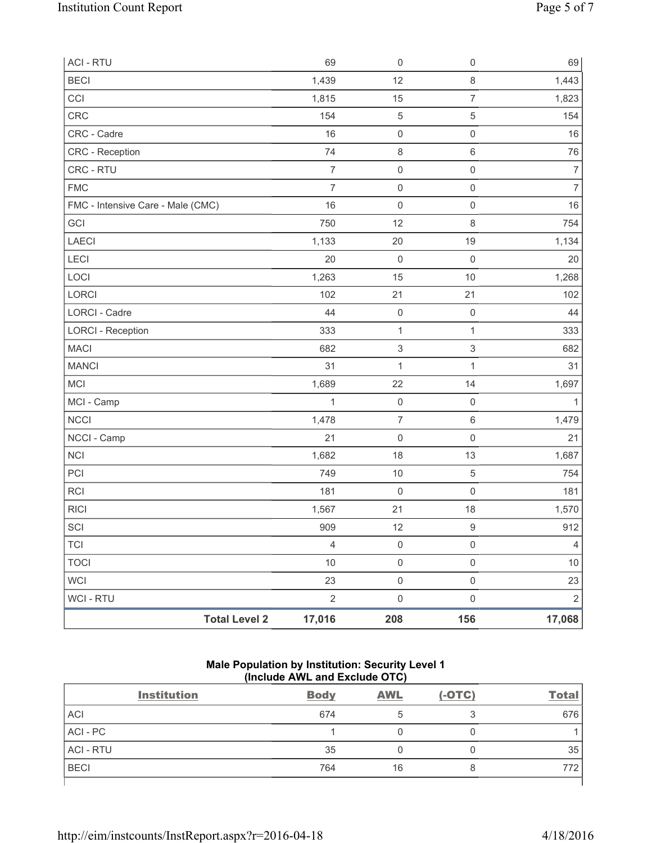| <b>ACI - RTU</b>                  | 69             | $\mathsf 0$               | $\mathsf 0$               | 69             |
|-----------------------------------|----------------|---------------------------|---------------------------|----------------|
| <b>BECI</b>                       | 1,439          | 12                        | $\,8\,$                   | 1,443          |
| CCI                               | 1,815          | 15                        | $\overline{7}$            | 1,823          |
| CRC                               | 154            | 5                         | 5                         | 154            |
| CRC - Cadre                       | 16             | $\mathsf 0$               | $\mathsf{O}\xspace$       | 16             |
| CRC - Reception                   | 74             | $\,8\,$                   | $\,6\,$                   | 76             |
| CRC - RTU                         | $\overline{7}$ | $\mathsf{O}\xspace$       | $\mathsf{O}\xspace$       | $\overline{7}$ |
| <b>FMC</b>                        | $\overline{7}$ | $\mathsf{O}\xspace$       | $\mathsf{O}\xspace$       | $\overline{7}$ |
| FMC - Intensive Care - Male (CMC) | 16             | $\mathsf{O}\xspace$       | $\mathsf{O}\xspace$       | $16$           |
| GCI                               | 750            | 12                        | $\,8\,$                   | 754            |
| LAECI                             | 1,133          | 20                        | 19                        | 1,134          |
| LECI                              | 20             | $\mathsf 0$               | $\mathsf 0$               | 20             |
| LOCI                              | 1,263          | 15                        | 10                        | 1,268          |
| LORCI                             | 102            | 21                        | 21                        | 102            |
| <b>LORCI - Cadre</b>              | 44             | $\mathsf{O}\xspace$       | $\mathsf 0$               | 44             |
| <b>LORCI - Reception</b>          | 333            | $\mathbf{1}$              | 1                         | 333            |
| <b>MACI</b>                       | 682            | $\ensuremath{\mathsf{3}}$ | $\ensuremath{\mathsf{3}}$ | 682            |
| <b>MANCI</b>                      | 31             | $\mathbf{1}$              | $\mathbf{1}$              | 31             |
| MCI                               | 1,689          | 22                        | 14                        | 1,697          |
| MCI - Camp                        | $\mathbf{1}$   | $\mathsf{O}\xspace$       | $\mathsf{O}\xspace$       | 1              |
| <b>NCCI</b>                       | 1,478          | $\overline{\mathcal{I}}$  | $\,6\,$                   | 1,479          |
| NCCI - Camp                       | 21             | 0                         | $\mathsf 0$               | 21             |
| <b>NCI</b>                        | 1,682          | 18                        | 13                        | 1,687          |
| PCI                               | 749            | $10$                      | 5                         | 754            |
| RCI                               | 181            | $\mathsf{O}\xspace$       | $\mathsf 0$               | 181            |
| <b>RICI</b>                       | 1,567          | 21                        | 18                        | 1,570          |
| SCI                               | 909            | 12                        | $\hbox{9}$                | 912            |
| <b>TCI</b>                        | $\overline{4}$ | $\mathsf 0$               | $\mathsf{O}\xspace$       | $\overline{4}$ |
| <b>TOCI</b>                       | $10$           | $\mathsf{O}\xspace$       | $\mathsf{O}\xspace$       | $10$           |
| <b>WCI</b>                        | 23             | $\mathsf{O}\xspace$       | $\mathsf{O}\xspace$       | 23             |
| WCI - RTU                         | $\sqrt{2}$     | $\mathsf 0$               | $\mathsf{O}\xspace$       | $\overline{2}$ |
| <b>Total Level 2</b>              | 17,016         | 208                       | 156                       | 17,068         |

#### **Male Population by Institution: Security Level 1 (Include AWL and Exclude OTC)**

| <b>Institution</b> | <b>Body</b> | <b>AWL</b> | $(-OTC)$ | <b>Total</b> |
|--------------------|-------------|------------|----------|--------------|
| <b>ACI</b>         | 674         | b          |          | 676          |
| ACI - PC           |             |            |          |              |
| <b>ACI - RTU</b>   | 35          |            |          | 35           |
| <b>BECI</b>        | 764         | 16         | ŏ        | 772          |
|                    |             |            |          |              |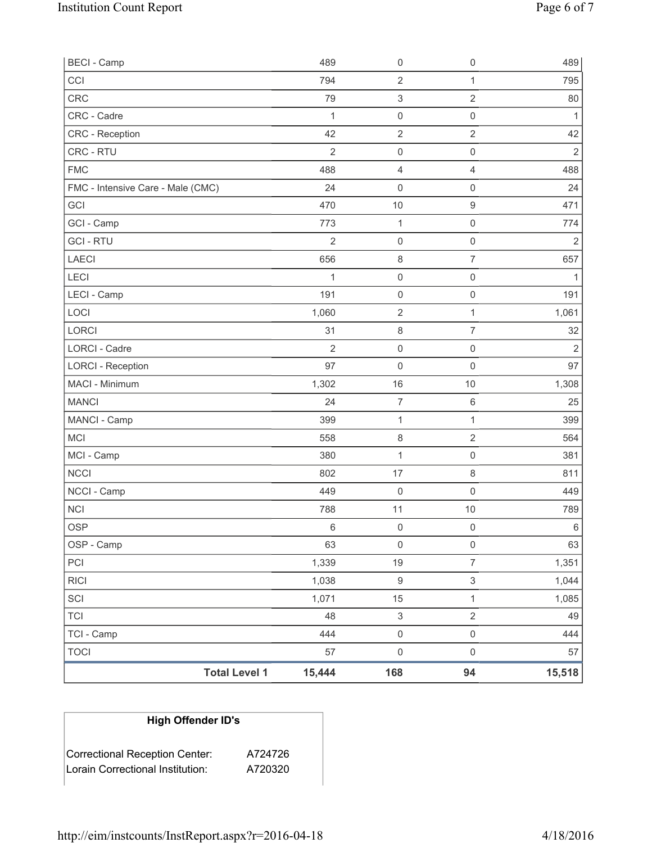| <b>BECI</b> - Camp                |                      | 489            | $\mathsf{O}\xspace$       | $\mathsf{O}\xspace$ | 489            |
|-----------------------------------|----------------------|----------------|---------------------------|---------------------|----------------|
| CCI                               |                      | 794            | $\mathbf 2$               | 1                   | 795            |
| <b>CRC</b>                        |                      | 79             | $\ensuremath{\mathsf{3}}$ | $\sqrt{2}$          | 80             |
| CRC - Cadre                       |                      | $\mathbf{1}$   | $\mathsf 0$               | $\mathsf 0$         | $\mathbf{1}$   |
| <b>CRC</b> - Reception            |                      | 42             | $\overline{2}$            | $\overline{2}$      | 42             |
| CRC - RTU                         |                      | $\overline{2}$ | 0                         | $\mathsf 0$         | $\sqrt{2}$     |
| <b>FMC</b>                        |                      | 488            | 4                         | $\overline{4}$      | 488            |
| FMC - Intensive Care - Male (CMC) |                      | 24             | 0                         | $\mathsf 0$         | 24             |
| GCI                               |                      | 470            | $10$                      | $\boldsymbol{9}$    | 471            |
| GCI - Camp                        |                      | 773            | $\mathbf{1}$              | $\mathsf{O}\xspace$ | 774            |
| <b>GCI-RTU</b>                    |                      | $\overline{2}$ | $\boldsymbol{0}$          | $\mathsf 0$         | $\overline{2}$ |
| <b>LAECI</b>                      |                      | 656            | 8                         | $\overline{7}$      | 657            |
| LECI                              |                      | 1              | $\mathsf{O}\xspace$       | $\mathsf 0$         | $\mathbf{1}$   |
| LECI - Camp                       |                      | 191            | $\mathsf{O}\xspace$       | $\mathsf{O}\xspace$ | 191            |
| LOCI                              |                      | 1,060          | $\sqrt{2}$                | $\mathbf{1}$        | 1,061          |
| <b>LORCI</b>                      |                      | 31             | 8                         | $\overline{7}$      | 32             |
| LORCI - Cadre                     |                      | $\overline{2}$ | $\mathsf 0$               | $\mathsf{O}\xspace$ | $\overline{2}$ |
| <b>LORCI - Reception</b>          |                      | 97             | 0                         | $\mathsf 0$         | 97             |
| MACI - Minimum                    |                      | 1,302          | 16                        | $10$                | 1,308          |
| <b>MANCI</b>                      |                      | 24             | $\overline{7}$            | $\,6\,$             | 25             |
| MANCI - Camp                      |                      | 399            | $\mathbf{1}$              | 1                   | 399            |
| MCI                               |                      | 558            | 8                         | $\overline{2}$      | 564            |
| MCI - Camp                        |                      | 380            | $\mathbf{1}$              | $\mathsf{O}\xspace$ | 381            |
| <b>NCCI</b>                       |                      | 802            | 17                        | $\,8\,$             | 811            |
| NCCI - Camp                       |                      | 449            | 0                         | $\mathsf 0$         | 449            |
| <b>NCI</b>                        |                      | 788            | 11                        | $10$                | 789            |
| <b>OSP</b>                        |                      | $\,6$          | 0                         | $\mathsf 0$         | $\,6$          |
| OSP - Camp                        |                      | 63             | $\mathsf{O}\xspace$       | $\mathsf 0$         | 63             |
| PCI                               |                      | 1,339          | 19                        | $\overline{7}$      | 1,351          |
| <b>RICI</b>                       |                      | 1,038          | $\boldsymbol{9}$          | $\mathsf 3$         | 1,044          |
| SCI                               |                      | 1,071          | 15                        | $\mathbf{1}$        | 1,085          |
| <b>TCI</b>                        |                      | 48             | $\,$ 3 $\,$               | $\sqrt{2}$          | 49             |
| TCI - Camp                        |                      | 444            | $\mathsf{O}\xspace$       | $\mathsf{O}\xspace$ | 444            |
| <b>TOCI</b>                       |                      | 57             | $\mathsf{O}\xspace$       | $\mathsf 0$         | 57             |
|                                   | <b>Total Level 1</b> | 15,444         | 168                       | 94                  | 15,518         |

# **High Offender ID's**

| Correctional Reception Center:   | A724726 |
|----------------------------------|---------|
| Lorain Correctional Institution: | A720320 |